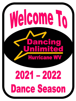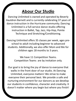### **Abour Our Studio**

Dancing Unlimited is owned and operated by Beverly Hauldren Barnett and is currently celebrating 37 years of dance instruction in the Hurricane community. Dancing Unlimited is a full-service dance studio offering instruction in Ballet, Tap, Jazz, Hip-Hop, Pointe Technique and Stretching/Conditioning.

Dancing Unlimited offers 35 classes per week, ages preschool to adult including beginner to advanced students. Additionally, we also offer Mom and Me for children ages 18 months to 3 years.

> We have 11 Competition Teams. Competition Teams are by invitation only.

Our goal is to bring the joy of dance to everyone that walks in the front door of our studio. At Dancing Unlimited, everyone matters! We strive to make everyone their personal best. We provide a safe and nurturing environment for our dancers as we develop our students in confidence, character and creativity. It doesn't matter where you begin but where you finish!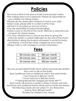### **Policies**

- •No food or drink in the dance studio rooms (except water)
- •The waiting area is not a playroom. Please be responsible for your children not taking classes.
- •Please use the observation windows to watch your child.
- •Dress Code, please refer to Curtain Call For Class.
- •All hair is to be pulled up and out of face.
- •You are responsible for personal belongings.
- •Tuition is due on the first of the month. Refunds or reductions are not given for missed classes.
- •You may withdraw from a class at any time by giving the instructor written or verbal notification by the end of the month.
- •Recital-Each spring the students will present a recital for family and friends. A recital fee will be charged for each family
- •Please notify us with changes in contact information.

#### **Fees**

| 90-minute class<br>\$85 per month |  |
|-----------------------------------|--|
| 60-minute class<br>\$65 per month |  |
| 45-minute class<br>\$60 per month |  |

We only accept Debit/Credit which will be automatically drafted from card on file at the studio. Each Additional Class or Additional child in the same family: 1 hour reduces to \$35 per month 1.5 hour reduces to \$45 per month \*\*\*\*Spring Recital Fee charged per family TBA\*\*\*\* Each family will receive a certain number of tickets with their recital fee and additional tickets will be sold for family and friends. The following classes are not subject to any Reduction: Dance Team \$20 per month 7% Sales Tax Added to ALL classes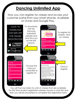### **Dancing Unlimited App**

Now you can register for classes and access your customer portal from your smart phones. Available on iTunes and Google Play.



You will then be taken to a list of classes that are available. For first time student registration please choose a class first and then you will be prompted to complete the registration form.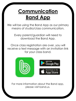## **Communication Band App**

We will be using the Band App as our primary means of studio/class communication.

> Every parent/guardian will need to download the Band App.

receive a text message with an invitation link for your class band. Once class registration are over, you will



For more information about the Band app, please visit band.us.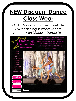# **NEW Discount Dance Class Wear**

Go to Dancing Unlimited's website www.dancingunlimtedwv.com And click on Discount Dance link.



mobility, they move to express a though or a feeling, and they move because it is joyful and feels wonderful. When their movement becomes consciously structured and is performed with awareness for it's own sake, it becomes DANCE.

About Our Staff Schedule **Class Descriptions** Policies Fees Contact **Spring Recital Calendar of Events** News and Announcements

> ONLINE REGISTRATION

**USTOMER ACCOU** PORTAL LOC IN

**MELCOME PACKE** 

**DISCOUNT DANCE** 

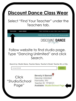## **Discount Dance Class Wear**

#### Select "Find Your Teacher" under the Teachers tab.



#### Follow website to find studio page. Type "Dancing Unlimited" and click Search.

Search by: Studio Name, Teacher Name, Teacher's Email, Teacher ID, or City.

Dancing Unlimited

**SEARCH** 

Click "Studio/School Page"

**Beverly H Barnett Dancing Unlimited** Hurricane, WV Teacher ID: TP38121 **Available: Studio/School Page**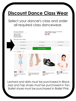## **Discount Dance Class Wear**

#### Select your dancer's class and order all required class dancewear.



Leotard and skirts must be purchased in Black. Jazz and Tap shoes must be purchased in Tan. Ballet shoes must be purchased in Ballet Pink.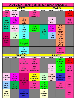| 2021-2022 Dancing Unlimited Class Schedule |                                            |                                                   |                                                   |                                            |                                        |                                                        |                                       |  |
|--------------------------------------------|--------------------------------------------|---------------------------------------------------|---------------------------------------------------|--------------------------------------------|----------------------------------------|--------------------------------------------------------|---------------------------------------|--|
| <b>MONDAY</b>                              |                                            |                                                   |                                                   | <b>TUESDAY</b>                             |                                        |                                                        |                                       |  |
| <b>Studio A</b>                            | <b>Studio B</b>                            | Studio C                                          | <b>Studio D</b>                                   | <b>Studio A</b>                            | <b>Studio B</b>                        | Studio C                                               | <b>Studio D</b>                       |  |
| 4:00<br><b>DUCT</b><br>Tap                 | 4:15<br>Preschool<br>Bev                   |                                                   | 4:00<br><b>DUCT</b><br>Jr Jazz (SG)               |                                            |                                        |                                                        | 4:00<br><b>HMSDT</b>                  |  |
| 5:00<br>AC 3/4/5<br><b>Sochill</b>         | 5:00<br>AC K/1<br><b>Nikki</b>             | 5:00<br><b>MS/HS</b><br>Tap<br>Jennie             |                                                   |                                            | 5:00<br>Preschool<br><b>Nikki</b>      |                                                        | 5:00<br><b>DUCT</b><br><b>Hip Hop</b> |  |
| Regan<br>Jennie                            | 6:00<br>Preschool<br><b>Nikki</b>          | 5:45<br>7/8/9<br><b>Ballet</b><br>Sochill         | 6:00<br><b>Technique 1</b><br>Regan               | 6:00<br>AC 4/5                             | 6:00<br><b>AC K/1</b><br><b>Nikki</b>  | 5:45<br>10/11/12<br><b>Ballet</b><br><b>Sochill</b>    |                                       |  |
| 6:30<br>AC 4/5/6 (A)                       | 7:00<br>AC 1/2<br><b>Nikki</b>             | 6:30<br>7/8/9<br>Jazz<br>Sochill                  |                                                   | Regan<br>Bev                               | 7:00<br>AC 2/3<br>Regan                | 6:30<br>10/11/12<br>Jazz<br><b>Sochill</b>             |                                       |  |
| <b>Jennie</b><br><b>Regan</b>              |                                            | 7:15<br><b>Technique 4</b><br><b>Sochill</b>      |                                                   |                                            |                                        | 7:15<br>9/10/11/12<br><b>Hip Hop</b><br><b>Sochill</b> |                                       |  |
|                                            |                                            | 8:15<br>6/7/8<br><b>Hip Hop</b><br><b>Sochill</b> |                                                   |                                            |                                        | 8:00<br><b>DUCT</b><br>Jr Jazz Line                    |                                       |  |
| <b>WEDNESDAY</b>                           |                                            |                                                   |                                                   | <b>THURSDAY</b>                            |                                        |                                                        |                                       |  |
| Studio A                                   | Studio B                                   | Studio C                                          | Studio D                                          | Studio A                                   | Studio B                               | Studio C                                               | Studio D                              |  |
|                                            |                                            | 4:00<br><b>DUCT</b><br>Mini Jazz (LG)             | 4:00<br><b>DUCT</b><br><b>Production</b>          |                                            |                                        | 4:00<br><b>Technique 2</b><br>Regan                    | 4:00<br><b>HMSDT</b>                  |  |
|                                            |                                            | 5:00<br><b>DUCT</b><br>Contemp (LG)               | 5:00<br><b>DUCT</b><br>Mini Jazz Line             |                                            | 5:00<br>Preschool<br><b>Bev</b>        | 5:00<br><b>Technique 3</b><br>Regan                    | 5:00<br><b>DUCT</b><br>Sr Jazz        |  |
| 6:00<br>Preschool<br><b>Nikki</b>          | 6:00<br>AC K/1<br>Jessica<br><b>Bev</b>    | 6:00<br>AC 5/6/7 (B)                              | 6:00<br>Stretch &<br><b>Conditioning</b><br>Regan | 6:00<br><b>AC 1/2</b><br>Regan             | 6:00<br>Mom & Me<br><b>Bev</b><br>Gina | 6:00<br><b>Hip Hop 3/4/5</b><br><b>Sochill</b>         | 6:00<br><b>DUCT</b>                   |  |
| 7:00<br>AC 2/3<br>Regan                    | 7:00<br>K/1/2<br><b>Hip Hop</b><br>Jessica | <b>Sochill</b><br><b>B</b> ev                     | 7:00<br><b>DUCT</b><br><b>Teen Jazz LG</b>        | 7:00<br>Beg/Int<br>Technique<br>Regan      |                                        | 7:00<br><b>DUCT</b><br>Contemp (SG)                    | 7:00<br><b>DUCT</b>                   |  |
| 8:00<br>Pointe<br><b>Sochill</b>           |                                            | 8:00<br><b>Hip Hop 3/4/5</b><br>Jessica           |                                                   | 8:00<br><b>Pre Pointe</b><br><b>Sochil</b> |                                        |                                                        | 8:00<br><b>DUCT</b>                   |  |